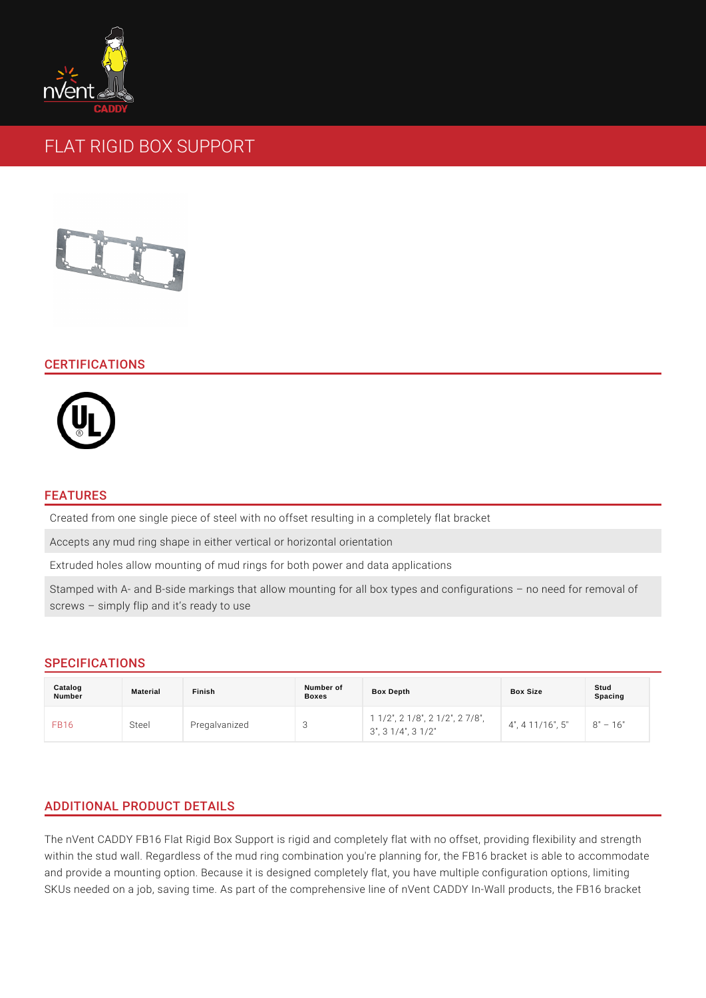# FLAT RIGID BOX SUPPORT

## CERTIFICATIONS

### FEATURES

Created from one single piece of steel with no offset resulting in a completely f Accepts any mud ring shape in either vertical or horizontal orientation Extruded holes allow mounting of mud rings for both power and data application Stamped with A- and B-side markings that allow mounting for all box types and screws simply flip and it s ready to use

## SPECIFICATIONS

| Catalog<br>Number | Material | Finish        | Number of<br><b>Boxes</b> | Box Depth                                                                                                                                                                       | Box Size | Stud<br>Spacing |
|-------------------|----------|---------------|---------------------------|---------------------------------------------------------------------------------------------------------------------------------------------------------------------------------|----------|-----------------|
| <b>FB16</b>       | Steel    | Pregalvanized |                           | 1 1/2", 2 1/8", 2 1/2", 2 $7/8$ ", $2 \frac{1}{4}$ ", $2 \frac{7}{4}$ ", $2 \frac{1}{11}$ ", $6 \frac{1}{8}$ ", $8 \frac{1}{5}$ " 16"<br>$3"$ , $3 \cdot 1/4"$ , $3 \cdot 1/2"$ |          |                 |

# ADDITIONAL PRODUCT DETAILS

The nVent CADDY FB16 Flat Rigid Box Support is rigid and completely flat with no within the stud wall. Regardless of the mud ring combination you're planning for and provide a mounting option. Because it is designed completely flat, you have SKUs needed on a job, saving time. As part of the comprehensive line of nVent (